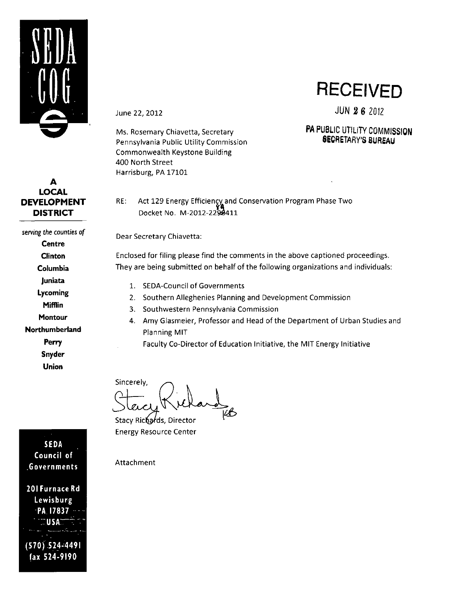

## **A LOCAL DEVELOPMENT DISTRICT**

**serving the counties of Centre Clinton Columbia Juniata Lycoming Mifflin Montour Northumberland Perry Snyder Union** 

**SEDA Council of .Governments 201 Furnace Rd Lewisburg** 

**PA 17837 "USA"" (570).524-4491** 

**fax 524-9190** 

*June 22, 2012* 

Ms. Rosemary Chiavetta, Secretary Pennsylvania Public Utility Commission Commonwealth Keystone Building 400 North Street Harrisburg, PA 17101

**RECEIVED** 

JUN 2 6 201Z

## **PA PUBLIC UTILITY COMMISSION SECRETARY'S BUREAU**

RE: Act 129 Energy Efficiency and Conservation Program Phase Two Docket No. M-2012-229S411

Dear Secretary Chiavetta:

Enclosed for filing please find the comments in the above captioned proceedings. They are being submitted on behalf of the following organizations and individuals:

- 1. SEDA-Council of Governments
- 2. Southern Alleghenies Planning and Development Commission
- 3. Southwestern Pennsylvania Commission
- 4. Amy Glasmeier, Professor and Head ofthe Department of Urban Studies and Planning MIT

Faculty Co-Director of Education Initiative, the MIT Energy Initiative

Sincerely,

Stacy Richards, Director Energy Resource Center

Attachment